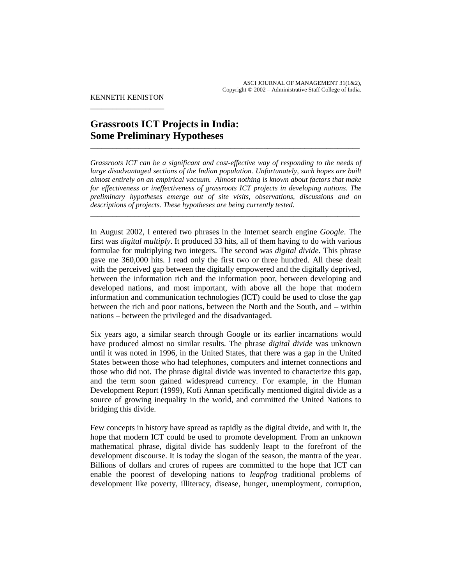KENNETH KENISTON \_\_\_\_\_\_\_\_\_\_\_\_\_\_\_\_\_\_\_\_

# **Grassroots ICT Projects in India: Some Preliminary Hypotheses**

*Grassroots ICT can be a significant and cost-effective way of responding to the needs of large disadvantaged sections of the Indian population. Unfortunately, such hopes are built almost entirely on an empirical vacuum. Almost nothing is known about factors that make for effectiveness or ineffectiveness of grassroots ICT projects in developing nations. The preliminary hypotheses emerge out of site visits, observations, discussions and on descriptions of projects. These hypotheses are being currently tested.* 

\_\_\_\_\_\_\_\_\_\_\_\_\_\_\_\_\_\_\_\_\_\_\_\_\_\_\_\_\_\_\_\_\_\_\_\_\_\_\_\_\_\_\_\_\_\_\_\_\_\_\_\_\_\_\_\_\_\_\_\_\_\_\_\_\_\_\_\_\_\_\_\_\_

\_\_\_\_\_\_\_\_\_\_\_\_\_\_\_\_\_\_\_\_\_\_\_\_\_\_\_\_\_\_\_\_\_\_\_\_\_\_\_\_\_\_\_\_\_\_\_\_\_\_\_\_\_\_\_\_\_\_\_\_\_\_\_\_\_\_\_\_\_\_\_\_\_

In August 2002, I entered two phrases in the Internet search engine *Google*. The first was *digital multiply*. It produced 33 hits, all of them having to do with various formulae for multiplying two integers. The second was *digital divide*. This phrase gave me 360,000 hits. I read only the first two or three hundred. All these dealt with the perceived gap between the digitally empowered and the digitally deprived, between the information rich and the information poor, between developing and developed nations, and most important, with above all the hope that modern information and communication technologies (ICT) could be used to close the gap between the rich and poor nations, between the North and the South, and – within nations – between the privileged and the disadvantaged.

Six years ago, a similar search through Google or its earlier incarnations would have produced almost no similar results. The phrase *digital divide* was unknown until it was noted in 1996, in the United States, that there was a gap in the United States between those who had telephones, computers and internet connections and those who did not. The phrase digital divide was invented to characterize this gap, and the term soon gained widespread currency. For example, in the Human Development Report (1999), Kofi Annan specifically mentioned digital divide as a source of growing inequality in the world, and committed the United Nations to bridging this divide.

Few concepts in history have spread as rapidly as the digital divide, and with it, the hope that modern ICT could be used to promote development. From an unknown mathematical phrase, digital divide has suddenly leapt to the forefront of the development discourse. It is today the slogan of the season, the mantra of the year. Billions of dollars and crores of rupees are committed to the hope that ICT can enable the poorest of developing nations to *leapfrog* traditional problems of development like poverty, illiteracy, disease, hunger, unemployment, corruption,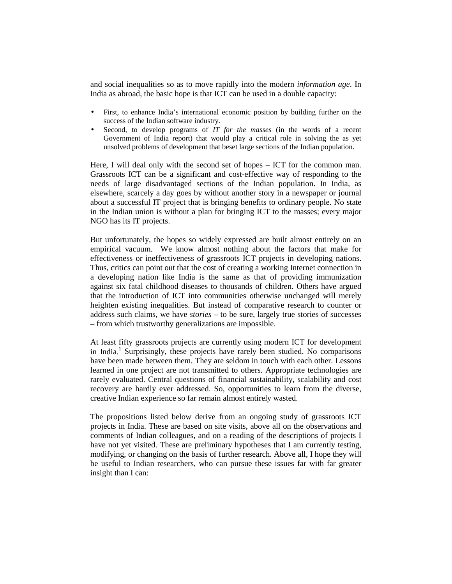and social inequalities so as to move rapidly into the modern *information age*. In India as abroad, the basic hope is that ICT can be used in a double capacity:

- First, to enhance India's international economic position by building further on the success of the Indian software industry.
- Second, to develop programs of *IT for the masses* (in the words of a recent Government of India report) that would play a critical role in solving the as yet unsolved problems of development that beset large sections of the Indian population.

Here, I will deal only with the second set of hopes – ICT for the common man. Grassroots ICT can be a significant and cost-effective way of responding to the needs of large disadvantaged sections of the Indian population. In India, as elsewhere, scarcely a day goes by without another story in a newspaper or journal about a successful IT project that is bringing benefits to ordinary people. No state in the Indian union is without a plan for bringing ICT to the masses; every major NGO has its IT projects.

But unfortunately, the hopes so widely expressed are built almost entirely on an empirical vacuum. We know almost nothing about the factors that make for effectiveness or ineffectiveness of grassroots ICT projects in developing nations. Thus, critics can point out that the cost of creating a working Internet connection in a developing nation like India is the same as that of providing immunization against six fatal childhood diseases to thousands of children. Others have argued that the introduction of ICT into communities otherwise unchanged will merely heighten existing inequalities. But instead of comparative research to counter or address such claims, we have *stories* – to be sure, largely true stories of successes – from which trustworthy generalizations are impossible.

At least fifty grassroots projects are currently using modern ICT for development in India.<sup>1</sup> Surprisingly, these projects have rarely been studied. No comparisons have been made between them. They are seldom in touch with each other. Lessons learned in one project are not transmitted to others. Appropriate technologies are rarely evaluated. Central questions of financial sustainability, scalability and cost recovery are hardly ever addressed. So, opportunities to learn from the diverse, creative Indian experience so far remain almost entirely wasted.

The propositions listed below derive from an ongoing study of grassroots ICT projects in India. These are based on site visits, above all on the observations and comments of Indian colleagues, and on a reading of the descriptions of projects I have not yet visited. These are preliminary hypotheses that I am currently testing, modifying, or changing on the basis of further research. Above all, I hope they will be useful to Indian researchers, who can pursue these issues far with far greater insight than I can: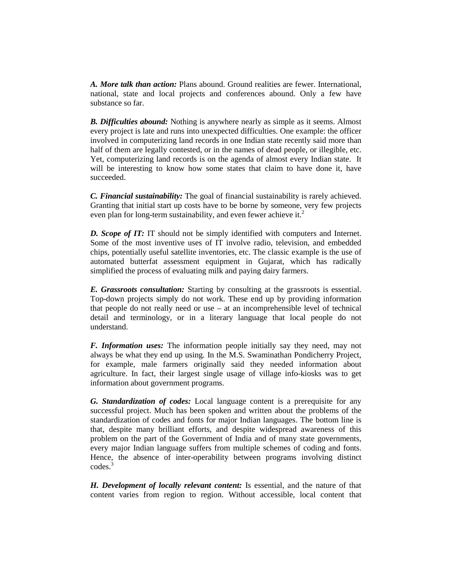*A. More talk than action:* Plans abound. Ground realities are fewer. International, national, state and local projects and conferences abound. Only a few have substance so far.

*B. Difficulties abound:* Nothing is anywhere nearly as simple as it seems. Almost every project is late and runs into unexpected difficulties. One example: the officer involved in computerizing land records in one Indian state recently said more than half of them are legally contested, or in the names of dead people, or illegible, etc. Yet, computerizing land records is on the agenda of almost every Indian state. It will be interesting to know how some states that claim to have done it, have succeeded.

*C. Financial sustainability:* The goal of financial sustainability is rarely achieved. Granting that initial start up costs have to be borne by someone, very few projects even plan for long-term sustainability, and even fewer achieve it.<sup>2</sup>

*D. Scope of IT:* IT should not be simply identified with computers and Internet. Some of the most inventive uses of IT involve radio, television, and embedded chips, potentially useful satellite inventories, etc. The classic example is the use of automated butterfat assessment equipment in Gujarat, which has radically simplified the process of evaluating milk and paying dairy farmers.

*E. Grassroots consultation:* Starting by consulting at the grassroots is essential. Top-down projects simply do not work. These end up by providing information that people do not really need or use – at an incomprehensible level of technical detail and terminology, or in a literary language that local people do not understand.

*F. Information uses:* The information people initially say they need, may not always be what they end up using. In the M.S. Swaminathan Pondicherry Project, for example, male farmers originally said they needed information about agriculture. In fact, their largest single usage of village info-kiosks was to get information about government programs.

*G. Standardization of codes:* Local language content is a prerequisite for any successful project. Much has been spoken and written about the problems of the standardization of codes and fonts for major Indian languages. The bottom line is that, despite many brilliant efforts, and despite widespread awareness of this problem on the part of the Government of India and of many state governments, every major Indian language suffers from multiple schemes of coding and fonts. Hence, the absence of inter-operability between programs involving distinct codes.<sup>3</sup>

*H. Development of locally relevant content:* Is essential, and the nature of that content varies from region to region. Without accessible, local content that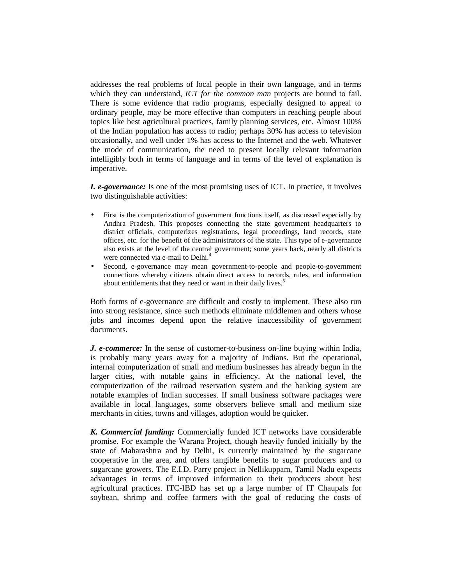addresses the real problems of local people in their own language, and in terms which they can understand, *ICT for the common man* projects are bound to fail. There is some evidence that radio programs, especially designed to appeal to ordinary people, may be more effective than computers in reaching people about topics like best agricultural practices, family planning services, etc. Almost 100% of the Indian population has access to radio; perhaps 30% has access to television occasionally, and well under 1% has access to the Internet and the web. Whatever the mode of communication, the need to present locally relevant information intelligibly both in terms of language and in terms of the level of explanation is imperative.

*I. e-governance:* Is one of the most promising uses of ICT. In practice, it involves two distinguishable activities:

- First is the computerization of government functions itself, as discussed especially by Andhra Pradesh. This proposes connecting the state government headquarters to district officials, computerizes registrations, legal proceedings, land records, state offices, etc. for the benefit of the administrators of the state. This type of e-governance also exists at the level of the central government; some years back, nearly all districts were connected via e-mail to Delhi.<sup>4</sup>
- Second, e-governance may mean government-to-people and people-to-government connections whereby citizens obtain direct access to records, rules, and information about entitlements that they need or want in their daily lives.<sup>5</sup>

Both forms of e-governance are difficult and costly to implement. These also run into strong resistance, since such methods eliminate middlemen and others whose jobs and incomes depend upon the relative inaccessibility of government documents.

*J. e-commerce:* In the sense of customer-to-business on-line buying within India, is probably many years away for a majority of Indians. But the operational, internal computerization of small and medium businesses has already begun in the larger cities, with notable gains in efficiency. At the national level, the computerization of the railroad reservation system and the banking system are notable examples of Indian successes. If small business software packages were available in local languages, some observers believe small and medium size merchants in cities, towns and villages, adoption would be quicker.

*K. Commercial funding:* Commercially funded ICT networks have considerable promise. For example the Warana Project, though heavily funded initially by the state of Maharashtra and by Delhi, is currently maintained by the sugarcane cooperative in the area, and offers tangible benefits to sugar producers and to sugarcane growers. The E.I.D. Parry project in Nellikuppam, Tamil Nadu expects advantages in terms of improved information to their producers about best agricultural practices. ITC-IBD has set up a large number of IT Chaupals for soybean, shrimp and coffee farmers with the goal of reducing the costs of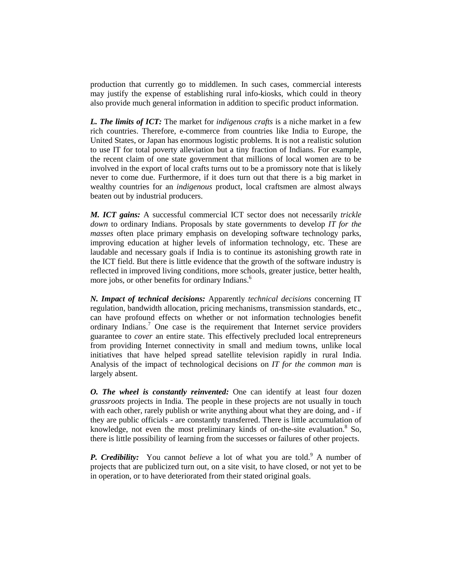production that currently go to middlemen. In such cases, commercial interests may justify the expense of establishing rural info-kiosks, which could in theory also provide much general information in addition to specific product information.

*L. The limits of ICT:* The market for *indigenous crafts* is a niche market in a few rich countries. Therefore, e-commerce from countries like India to Europe, the United States, or Japan has enormous logistic problems*.* It is not a realistic solution to use IT for total poverty alleviation but a tiny fraction of Indians. For example, the recent claim of one state government that millions of local women are to be involved in the export of local crafts turns out to be a promissory note that is likely never to come due. Furthermore, if it does turn out that there is a big market in wealthy countries for an *indigenous* product, local craftsmen are almost always beaten out by industrial producers.

*M. ICT gains:* A successful commercial ICT sector does not necessarily *trickle down* to ordinary Indians. Proposals by state governments to develop *IT for the masses* often place primary emphasis on developing software technology parks, improving education at higher levels of information technology, etc. These are laudable and necessary goals if India is to continue its astonishing growth rate in the ICT field. But there is little evidence that the growth of the software industry is reflected in improved living conditions, more schools, greater justice, better health, more jobs, or other benefits for ordinary Indians.<sup>6</sup>

*N. Impact of technical decisions:* Apparently *technical decisions* concerning IT regulation, bandwidth allocation, pricing mechanisms, transmission standards, etc., can have profound effects on whether or not information technologies benefit ordinary Indians.<sup>7</sup> One case is the requirement that Internet service providers guarantee to *cover* an entire state. This effectively precluded local entrepreneurs from providing Internet connectivity in small and medium towns, unlike local initiatives that have helped spread satellite television rapidly in rural India. Analysis of the impact of technological decisions on *IT for the common man* is largely absent.

*O. The wheel is constantly reinvented:* One can identify at least four dozen *grassroots* projects in India. The people in these projects are not usually in touch with each other, rarely publish or write anything about what they are doing, and - if they are public officials - are constantly transferred. There is little accumulation of knowledge, not even the most preliminary kinds of on-the-site evaluation. $8$  So, there is little possibility of learning from the successes or failures of other projects.

**P.** Credibility: You cannot believe a lot of what you are told.<sup>9</sup> A number of projects that are publicized turn out, on a site visit, to have closed, or not yet to be in operation, or to have deteriorated from their stated original goals.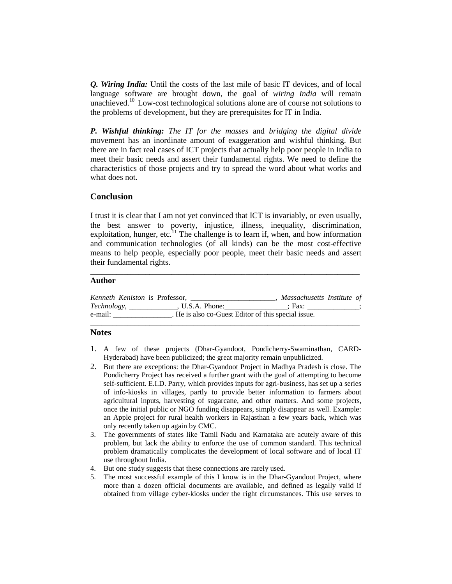*Q. Wiring India:* Until the costs of the last mile of basic IT devices, and of local language software are brought down, the goal of *wiring India* will remain unachieved.<sup>10</sup> Low-cost technological solutions alone are of course not solutions to the problems of development, but they are prerequisites for IT in India.

*P. Wishful thinking: The IT for the masses* and *bridging the digital divide*  movement has an inordinate amount of exaggeration and wishful thinking. But there are in fact real cases of ICT projects that actually help poor people in India to meet their basic needs and assert their fundamental rights. We need to define the characteristics of those projects and try to spread the word about what works and what does not.

### **Conclusion**

I trust it is clear that I am not yet convinced that ICT is invariably, or even usually, the best answer to poverty, injustice, illness, inequality, discrimination, exploitation, hunger, etc. $^{11}$  The challenge is to learn if, when, and how information and communication technologies (of all kinds) can be the most cost-effective means to help people, especially poor people, meet their basic needs and assert their fundamental rights.

**\_\_\_\_\_\_\_\_\_\_\_\_\_\_\_\_\_\_\_\_\_\_\_\_\_\_\_\_\_\_\_\_\_\_\_\_\_\_\_\_\_\_\_\_\_\_\_\_\_\_\_\_\_\_\_\_\_\_\_\_\_\_\_\_\_\_\_\_\_\_\_\_\_** 

### **Author**

| Kenneth Keniston is Professor, |                                                     | Massachusetts Institute of |  |
|--------------------------------|-----------------------------------------------------|----------------------------|--|
| Technology,                    | . U.S.A. Phone:                                     | : Fax:                     |  |
| e-mail:                        | . He is also co-Guest Editor of this special issue. |                            |  |
|                                |                                                     |                            |  |

# **Notes**

- 1. A few of these projects (Dhar-Gyandoot, Pondicherry-Swaminathan, CARD-Hyderabad) have been publicized; the great majority remain unpublicized.
- 2. But there are exceptions: the Dhar-Gyandoot Project in Madhya Pradesh is close. The Pondicherry Project has received a further grant with the goal of attempting to become self-sufficient. E.I.D. Parry, which provides inputs for agri-business, has set up a series of info-kiosks in villages, partly to provide better information to farmers about agricultural inputs, harvesting of sugarcane, and other matters. And some projects, once the initial public or NGO funding disappears, simply disappear as well. Example: an Apple project for rural health workers in Rajasthan a few years back, which was only recently taken up again by CMC.
- 3. The governments of states like Tamil Nadu and Karnataka are acutely aware of this problem, but lack the ability to enforce the use of common standard. This technical problem dramatically complicates the development of local software and of local IT use throughout India.
- 4. But one study suggests that these connections are rarely used.
- 5. The most successful example of this I know is in the Dhar-Gyandoot Project, where more than a dozen official documents are available, and defined as legally valid if obtained from village cyber-kiosks under the right circumstances. This use serves to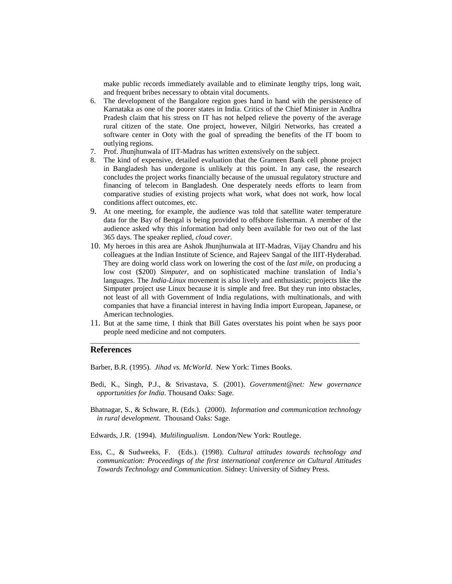make public records immediately available and to eliminate lengthy trips, long wait, and frequent bribes necessary to obtain vital documents.

- 6. The development of the Bangalore region goes hand in hand with the persistence of Karnataka as one of the poorer states in India. Critics of the Chief Minister in Andhra Pradesh claim that his stress on IT has not helped relieve the poverty of the average rural citizen of the state. One project, however, Nilgiri Networks, has created a software center in Ooty with the goal of spreading the benefits of the IT boom to outlying regions.
- 7. Prof. Jhunjhunwala of IIT-Madras has written extensively on the subject.
- 8. The kind of expensive, detailed evaluation that the Grameen Bank cell phone project in Bangladesh has undergone is unlikely at this point. In any case, the research concludes the project works financially because of the unusual regulatory structure and financing of telecom in Bangladesh. One desperately needs efforts to learn from comparative studies of existing projects what work, what does not work, how local conditions affect outcomes, etc.
- 9. At one meeting, for example, the audience was told that satellite water temperature data for the Bay of Bengal is being provided to offshore fisherman. A member of the audience asked why this information had only been available for two out of the last 365 days. The speaker replied, *cloud cover*.
- 10. My heroes in this area are Ashok Jhunjhunwala at IIT-Madras, Vijay Chandru and his colleagues at the Indian Institute of Science, and Rajeev Sangal of the IIIT-Hyderabad. They are doing world class work on lowering the cost of the *last mile*, on producing a low cost (\$200) *Simputer*, and on sophisticated machine translation of India's languages. The *India-Linux* movement is also lively and enthusiastic; projects like the Simputer project use Linux because it is simple and free. But they run into obstacles, not least of all with Government of India regulations, with multinationals, and with companies that have a financial interest in having India import European, Japanese, or American technologies.
- 11. But at the same time, I think that Bill Gates overstates his point when he says poor people need medicine and not computers. \_\_\_\_\_\_\_\_\_\_\_\_\_\_\_\_\_\_\_\_\_\_\_\_\_\_\_\_\_\_\_\_\_\_\_\_\_\_\_\_\_\_\_\_\_\_\_\_\_\_\_\_\_\_\_\_\_\_\_\_\_\_\_\_\_\_\_\_\_\_\_\_\_

# **References**

Barber, B.R. (1995). *Jihad vs. McWorld*. New York: Times Books.

- Bedi, K., Singh, P.J., & Srivastava, S. (2001). *Government@net: New governance opportunities for India*. Thousand Oaks: Sage.
- Bhatnagar, S., & Schware, R. (Eds.). (2000). *Information and communication technology in rural development*. Thousand Oaks: Sage.
- Edwards, J.R. (1994). *Multilingualism*. London/New York: Routlege.
- Ess, C., & Sudweeks, F. (Eds.). (1998). *Cultural attitudes towards technology and communication: Proceedings of the first international conference on Cultural Attitudes Towards Technology and Communication*. Sidney: University of Sidney Press.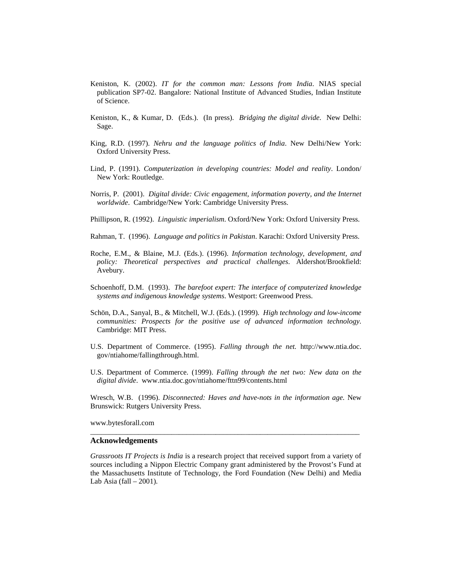- Keniston, K. (2002). *IT for the common man: Lessons from India*. NIAS special publication SP7-02. Bangalore: National Institute of Advanced Studies, Indian Institute of Science.
- Keniston, K., & Kumar, D. (Eds.). (In press). *Bridging the digital divide*. New Delhi: Sage.
- King, R.D. (1997). *Nehru and the language politics of India*. New Delhi/New York: Oxford University Press.
- Lind, P. (1991). *Computerization in developing countries: Model and reality*. London/ New York: Routledge.
- Norris, P. (2001). *Digital divide: Civic engagement, information poverty, and the Internet worldwide*. Cambridge/New York: Cambridge University Press.
- Phillipson, R. (1992). *Linguistic imperialism*. Oxford/New York: Oxford University Press.
- Rahman, T. (1996). *Language and politics in Pakistan*. Karachi: Oxford University Press.
- Roche, E.M., & Blaine, M.J. (Eds.). (1996). *Information technology, development, and policy: Theoretical perspectives and practical challenges*. Aldershot/Brookfield: Avebury.
- Schoenhoff, D.M. (1993). *The barefoot expert: The interface of computerized knowledge systems and indigenous knowledge systems*. Westport: Greenwood Press.
- Schön, D.A., Sanyal, B., & Mitchell, W.J. (Eds.). (1999). *High technology and low-income communities: Prospects for the positive use of advanced information technology*. Cambridge: MIT Press.
- U.S. Department of Commerce. (1995). *Falling through the net.* http://www.ntia.doc. gov/ntiahome/fallingthrough.html.
- U.S. Department of Commerce. (1999). *Falling through the net two: New data on the digital divide*. www.ntia.doc.gov/ntiahome/fttn99/contents.html

Wresch, W.B. (1996). *Disconnected: Haves and have-nots in the information age.* New Brunswick: Rutgers University Press.

\_\_\_\_\_\_\_\_\_\_\_\_\_\_\_\_\_\_\_\_\_\_\_\_\_\_\_\_\_\_\_\_\_\_\_\_\_\_\_\_\_\_\_\_\_\_\_\_\_\_\_\_\_\_\_\_\_\_\_\_\_\_\_\_\_\_\_\_\_\_\_\_\_

www.bytesforall.com

#### **Acknowledgements**

*Grassroots IT Projects is India* is a research project that received support from a variety of sources including a Nippon Electric Company grant administered by the Provost's Fund at the Massachusetts Institute of Technology, the Ford Foundation (New Delhi) and Media Lab Asia (fall  $-2001$ ).